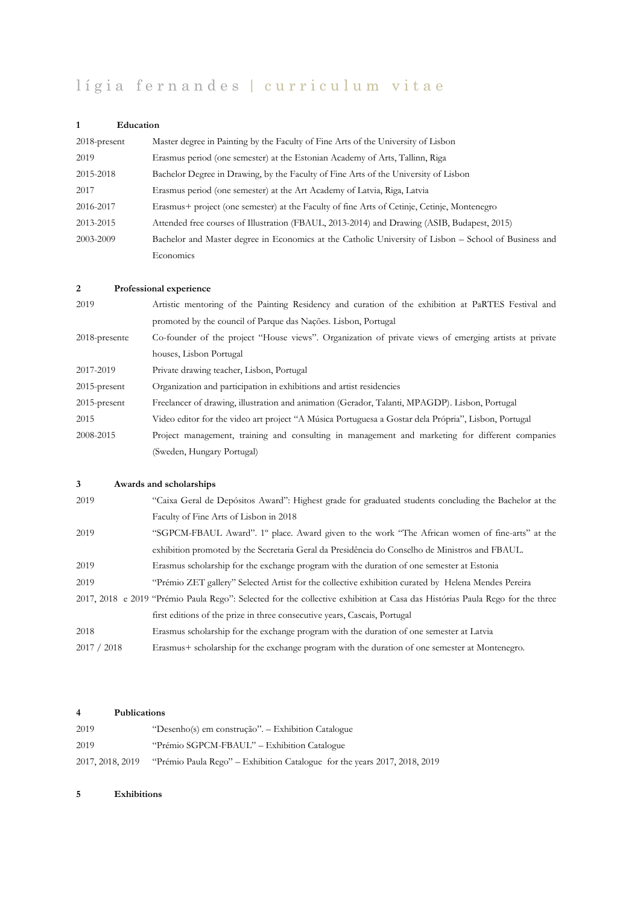# lígia fernandes | curriculum vitae

## **1 Education**

| $2018$ -present | Master degree in Painting by the Faculty of Fine Arts of the University of Lisbon                     |
|-----------------|-------------------------------------------------------------------------------------------------------|
| 2019            | Erasmus period (one semester) at the Estonian Academy of Arts, Tallinn, Riga                          |
| 2015-2018       | Bachelor Degree in Drawing, by the Faculty of Fine Arts of the University of Lisbon                   |
| 2017            | Erasmus period (one semester) at the Art Academy of Latvia, Riga, Latvia                              |
| 2016-2017       | Erasmus+ project (one semester) at the Faculty of fine Arts of Cetinje, Cetinje, Montenegro           |
| 2013-2015       | Attended free courses of Illustration (FBAUL, 2013-2014) and Drawing (ASIB, Budapest, 2015)           |
| 2003-2009       | Bachelor and Master degree in Economics at the Catholic University of Lisbon – School of Business and |
|                 | Economics                                                                                             |

### **2 Professional experience**

| 2019            | Artistic mentoring of the Painting Residency and curation of the exhibition at PaRTES Festival and    |
|-----------------|-------------------------------------------------------------------------------------------------------|
|                 | promoted by the council of Parque das Nações. Lisbon, Portugal                                        |
| 2018-presente   | Co-founder of the project "House views". Organization of private views of emerging artists at private |
|                 | houses, Lisbon Portugal                                                                               |
| 2017-2019       | Private drawing teacher, Lisbon, Portugal                                                             |
| $2015$ -present | Organization and participation in exhibitions and artist residencies                                  |
| $2015$ -present | Freelancer of drawing, illustration and animation (Gerador, Talanti, MPAGDP). Lisbon, Portugal        |
| 2015            | Video editor for the video art project "A Música Portuguesa a Gostar dela Própria", Lisbon, Portugal  |
| 2008-2015       | Project management, training and consulting in management and marketing for different companies       |
|                 | (Sweden, Hungary Portugal)                                                                            |

## **3 Awards and scholarships**

| 2019        | "Caixa Geral de Depósitos Award": Highest grade for graduated students concluding the Bachelor at the                        |
|-------------|------------------------------------------------------------------------------------------------------------------------------|
|             | Faculty of Fine Arts of Lisbon in 2018                                                                                       |
| 2019        | "SGPCM-FBAUL Award". 1° place. Award given to the work "The African women of fine-arts" at the                               |
|             | exhibition promoted by the Secretaria Geral da Presidência do Conselho de Ministros and FBAUL.                               |
| 2019        | Erasmus scholarship for the exchange program with the duration of one semester at Estonia                                    |
| 2019        | "Prémio ZET gallery" Selected Artist for the collective exhibition curated by Helena Mendes Pereira                          |
|             | 2017, 2018 e 2019 "Prémio Paula Rego": Selected for the collective exhibition at Casa das Histórias Paula Rego for the three |
|             | first editions of the prize in three consecutive years, Cascais, Portugal                                                    |
| 2018        | Erasmus scholarship for the exchange program with the duration of one semester at Latvia                                     |
| 2017 / 2018 | Erasmus+ scholarship for the exchange program with the duration of one semester at Montenegro.                               |
|             |                                                                                                                              |

#### **4 Publications**

| 2019             | "Desenho(s) em construção". – Exhibition Catalogue                        |
|------------------|---------------------------------------------------------------------------|
| 2019             | "Prémio SGPCM-FBAUL" – Exhibition Catalogue                               |
| 2017, 2018, 2019 | "Prémio Paula Rego" – Exhibition Catalogue for the years 2017, 2018, 2019 |

#### **5 Exhibitions**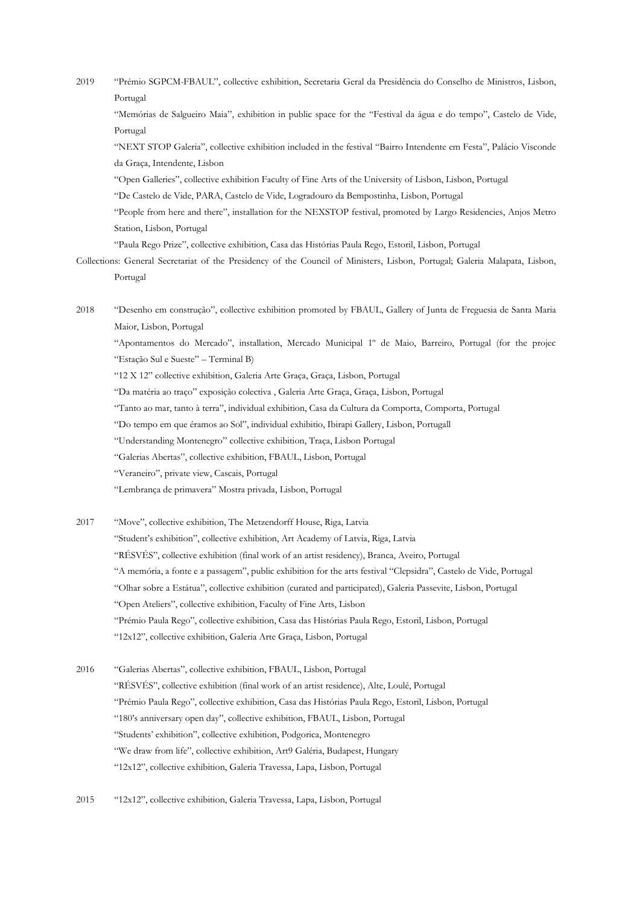2019 "Prémio SGPCM-FBAUL", collective exhibition, Secretaria Geral da Presidência do Conselho de Ministros, Lisbon, Portugal

"Memórias de Salgueiro Maia", exhibition in public space for the "Festival da água e do tempo", Castelo de Vide, Portugal

"NEXT STOP Galeria", collective exhibition included in the festival "Bairro Intendente em Festa", Palácio Visconde da Graça, Intendente, Lisbon

"Open Galleries", collective exhibition Faculty of Fine Arts of the University of Lisbon, Lisbon, Portugal

"De Castelo de Vide, PARA, Castelo de Vide, Logradouro da Bempostinha, Lisbon, Portugal

"People from here and there", installation for the NEXSTOP festival, promoted by Largo Residencies, Anjos Metro Station, Lisbon, Portugal

"Paula Rego Prize", collective exhibition, Casa das Histórias Paula Rego, Estoril, Lisbon, Portugal

Collections: General Secretariat of the Presidency of the Council of Ministers, Lisbon, Portugal; Galeria Malapata, Lisbon, Portugal

2018 "Desenho em construção", collective exhibition promoted by FBAUL, Gallery of Junta de Freguesia de Santa Maria Maior, Lisbon, Portugal

"Apontamentos do Mercado", installation, Mercado Municipal 1º de Maio, Barreiro, Portugal (for the projec "Estação Sul e Sueste" – Terminal B)

"12 X 12" collective exhibition, Galeria Arte Graça, Graça, Lisbon, Portugal

"Da matéria ao traço" exposição colectiva , Galeria Arte Graça, Graça, Lisbon, Portugal

"Tanto ao mar, tanto à terra", individual exhibition, Casa da Cultura da Comporta, Comporta, Portugal

"Do tempo em que éramos ao Sol", individual exhibitio, Ibirapi Gallery, Lisbon, Portugall

"Understanding Montenegro" collective exhibition, Traça, Lisbon Portugal

"Galerias Abertas", collective exhibition, FBAUL, Lisbon, Portugal

"Veraneiro", private view, Cascais, Portugal

"Lembrança de primavera" Mostra privada, Lisbon, Portugal

2017 "Move", collective exhibition, The Metzendorff House, Riga, Latvia "Student's exhibition", collective exhibition, Art Academy of Latvia, Riga, Latvia "RÉSVÉS", collective exhibition (final work of an artist residency), Branca, Aveiro, Portugal "A memória, a fonte e a passagem", public exhibition for the arts festival "Clepsidra", Castelo de Vide, Portugal "Olhar sobre a Estátua", collective exhibition (curated and participated), Galeria Passevite, Lisbon, Portugal "Open Ateliers", collective exhibition, Faculty of Fine Arts, Lisbon "Prémio Paula Rego", collective exhibition, Casa das Histórias Paula Rego, Estoril, Lisbon, Portugal "12x12", collective exhibition, Galeria Arte Graça, Lisbon, Portugal

2016 "Galerias Abertas", collective exhibition, FBAUL, Lisbon, Portugal "RÉSVÉS", collective exhibition (final work of an artist residence), Alte, Loulé, Portugal "Prémio Paula Rego", collective exhibition, Casa das Histórias Paula Rego, Estoril, Lisbon, Portugal "180's anniversary open day", collective exhibition, FBAUL, Lisbon, Portugal "Students' exhibition", collective exhibition, Podgorica, Montenegro "We draw from life", collective exhibition, Art9 Galéria, Budapest, Hungary "12x12", collective exhibition, Galeria Travessa, Lapa, Lisbon, Portugal

2015 "12x12", collective exhibition, Galeria Travessa, Lapa, Lisbon, Portugal